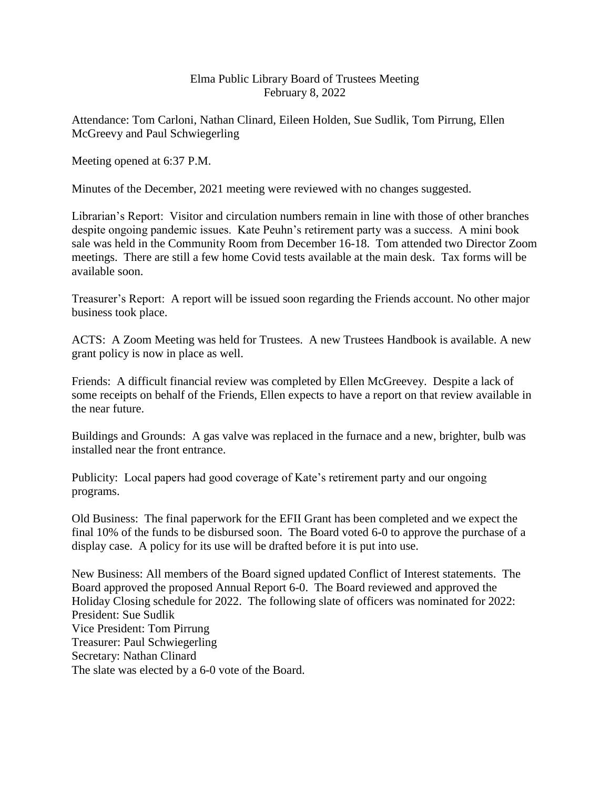## Elma Public Library Board of Trustees Meeting February 8, 2022

Attendance: Tom Carloni, Nathan Clinard, Eileen Holden, Sue Sudlik, Tom Pirrung, Ellen McGreevy and Paul Schwiegerling

Meeting opened at 6:37 P.M.

Minutes of the December, 2021 meeting were reviewed with no changes suggested.

Librarian's Report: Visitor and circulation numbers remain in line with those of other branches despite ongoing pandemic issues. Kate Peuhn's retirement party was a success. A mini book sale was held in the Community Room from December 16-18. Tom attended two Director Zoom meetings. There are still a few home Covid tests available at the main desk. Tax forms will be available soon.

Treasurer's Report: A report will be issued soon regarding the Friends account. No other major business took place.

ACTS: A Zoom Meeting was held for Trustees. A new Trustees Handbook is available. A new grant policy is now in place as well.

Friends: A difficult financial review was completed by Ellen McGreevey. Despite a lack of some receipts on behalf of the Friends, Ellen expects to have a report on that review available in the near future.

Buildings and Grounds: A gas valve was replaced in the furnace and a new, brighter, bulb was installed near the front entrance.

Publicity: Local papers had good coverage of Kate's retirement party and our ongoing programs.

Old Business: The final paperwork for the EFII Grant has been completed and we expect the final 10% of the funds to be disbursed soon. The Board voted 6-0 to approve the purchase of a display case. A policy for its use will be drafted before it is put into use.

New Business: All members of the Board signed updated Conflict of Interest statements. The Board approved the proposed Annual Report 6-0. The Board reviewed and approved the Holiday Closing schedule for 2022. The following slate of officers was nominated for 2022: President: Sue Sudlik Vice President: Tom Pirrung Treasurer: Paul Schwiegerling Secretary: Nathan Clinard The slate was elected by a 6-0 vote of the Board.